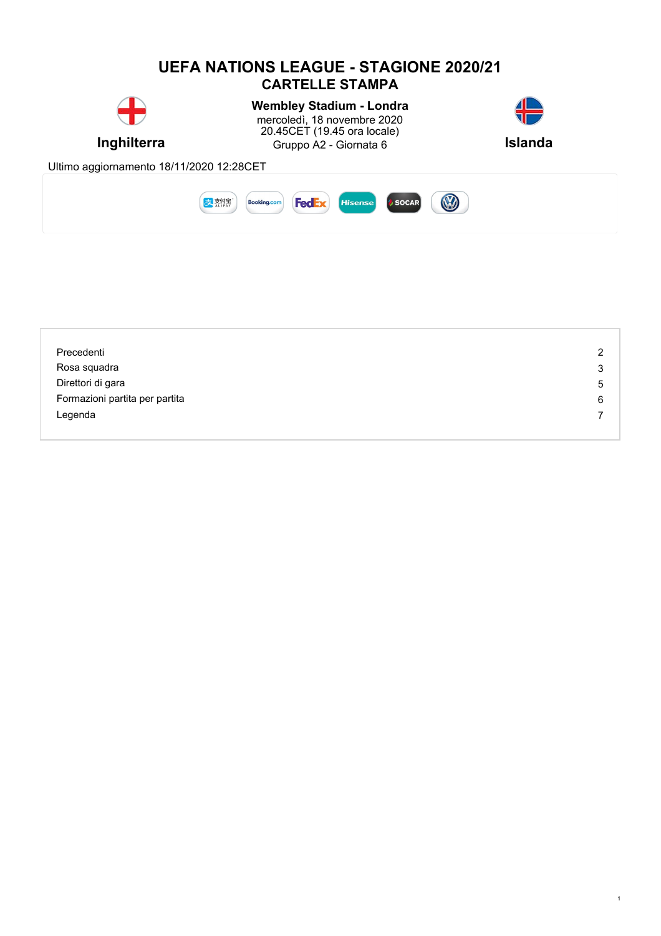#### **UEFA NATIONS LEAGUE - STAGIONE 2020/21 CARTELLE STAMPA Wembley Stadium - Londra** mercoledì, 18 novembre 2020 20.45CET (19.45 ora locale) **Inghilterra** Gruppo A2 - Giornata 6 **Islanda** Ultimo aggiornamento 18/11/2020 12:28CET Booking.com B 皮熱焦 SOCAR **FedEx** Hisense

| Precedenti                     | 2 |
|--------------------------------|---|
| Rosa squadra                   | 3 |
| Direttori di gara              | 5 |
| Formazioni partita per partita | 6 |
| Legenda                        |   |
|                                |   |

1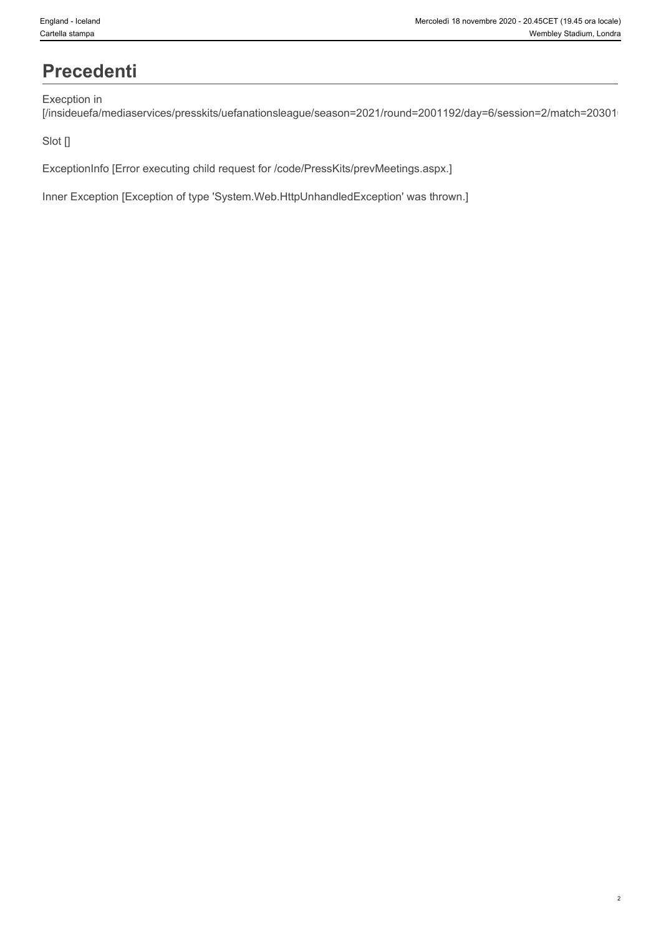### **Precedenti**

#### Execption in

[/insideuefa/mediaservices/presskits/uefanationsleague/season=2021/round=2001192/day=6/session=2/match=20301

#### Slot []

ExceptionInfo [Error executing child request for /code/PressKits/prevMeetings.aspx.]

Inner Exception [Exception of type 'System.Web.HttpUnhandledException' was thrown.]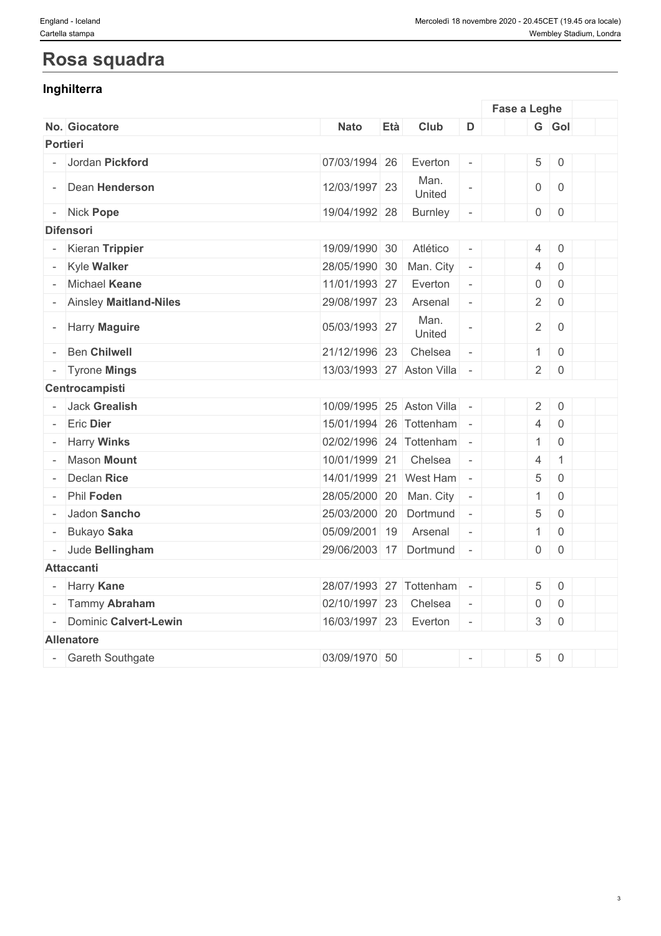### **Rosa squadra**

### **Inghilterra**

|                         |                             |     |                |                             | Fase a Leghe   |                     |  |
|-------------------------|-----------------------------|-----|----------------|-----------------------------|----------------|---------------------|--|
| No. Giocatore           | <b>Nato</b>                 | Età | Club           | D                           |                | G Gol               |  |
| <b>Portieri</b>         |                             |     |                |                             |                |                     |  |
| - Jordan Pickford       | 07/03/1994 26               |     | Everton        | $\overline{\phantom{a}}$    |                | $5 \mid 0$          |  |
| - Dean Henderson        | 12/03/1997 23               |     | Man.<br>United | $\overline{\phantom{a}}$    |                | $0 \mid 0$          |  |
| - Nick Pope             | 19/04/1992 28               |     | <b>Burnley</b> | $\equiv$                    |                | $0 \mid 0$          |  |
| <b>Difensori</b>        |                             |     |                |                             |                |                     |  |
| - Kieran Trippier       | 19/09/1990 30               |     | Atlético       | $\sim$                      |                | $4 \mid 0$          |  |
| - Kyle Walker           | 28/05/1990 30               |     | Man. City      | $\sim$                      | $\overline{4}$ | $\mathbf 0$         |  |
| - Michael Keane         | 11/01/1993 27               |     | Everton        | $\mathcal{L}_{\mathcal{A}}$ | $\overline{0}$ | $\mathbf 0$         |  |
| Ainsley Maitland-Niles  | 29/08/1997 23               |     | Arsenal        | $\overline{\phantom{a}}$    | $2 \mid$       | $\overline{0}$      |  |
| - Harry Maguire         | 05/03/1993 27               |     | Man.<br>United | L,                          |                | $2 \mid 0$          |  |
| <b>Ben Chilwell</b>     | 21/12/1996 23               |     | Chelsea        | $\sim$                      |                | $1 \ 0$             |  |
| - Tyrone Mings          | 13/03/1993 27 Aston Villa - |     |                |                             |                | $2 \mid 0$          |  |
| Centrocampisti          |                             |     |                |                             |                |                     |  |
| Jack Grealish           | 10/09/1995 25 Aston Villa - |     |                |                             |                | $2 \mid 0$          |  |
| <b>Eric Dier</b>        | 15/01/1994 26 Tottenham -   |     |                |                             | $\overline{4}$ | $\mathbf 0$         |  |
| - Harry Winks           | 02/02/1996 24 Tottenham -   |     |                |                             | 1              | $\overline{0}$      |  |
| - Mason Mount           | 10/01/1999 21 Chelsea       |     |                | $\sim$                      | $\overline{4}$ | $\mathbf{1}$        |  |
| Declan Rice             | 14/01/1999 21 West Ham -    |     |                |                             | $\overline{5}$ | $\mathbf 0$         |  |
| - Phil Foden            | 28/05/2000 20 Man. City -   |     |                |                             | 1              | $\mathbf 0$         |  |
| Jadon Sancho            | 25/03/2000 20 Dortmund -    |     |                |                             | $\overline{5}$ | $\mathbf 0$         |  |
| Bukayo Saka             | 05/09/2001 19               |     | Arsenal        | $\overline{\phantom{a}}$    | 1              | $\mathbf 0$         |  |
| - Jude Bellingham       | 29/06/2003 17 Dortmund      |     |                | $\sim$                      |                | $0 \mid 0$          |  |
| <b>Attaccanti</b>       |                             |     |                |                             |                |                     |  |
| - Harry Kane            | 28/07/1993 27 Tottenham -   |     |                |                             |                | $5 \ 0$             |  |
| - Tammy Abraham         | 02/10/1997 23               |     | Chelsea        | $\sim$                      | $\mathsf{O}$   | $\mathsf{O}\xspace$ |  |
| - Dominic Calvert-Lewin | 16/03/1997 23               |     | Everton        | $\sim$                      |                | $3 \mid 0$          |  |
| <b>Allenatore</b>       |                             |     |                |                             |                |                     |  |
| - Gareth Southgate      | 03/09/1970 50               |     |                | $\mathbb{L}$                | $\overline{5}$ | $\overline{0}$      |  |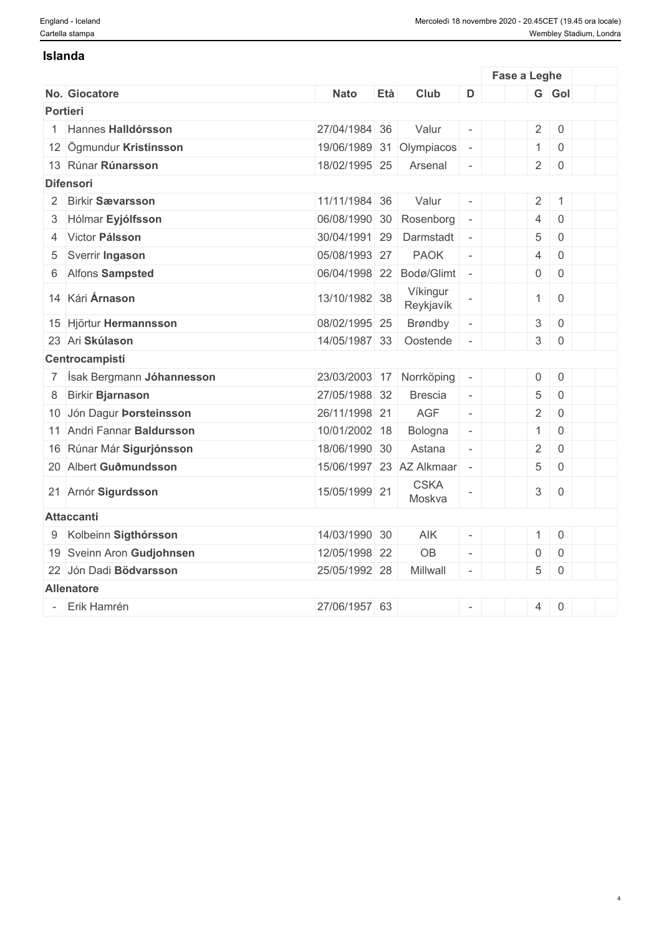#### **Islanda**

|                |                             |               |     |                            |                          | Fase a Leghe   |                     |  |
|----------------|-----------------------------|---------------|-----|----------------------------|--------------------------|----------------|---------------------|--|
|                | No. Giocatore               | <b>Nato</b>   | Età | Club                       | D                        |                | G Gol               |  |
|                | Portieri                    |               |     |                            |                          |                |                     |  |
| $\overline{1}$ | Hannes Halldórsson          | 27/04/1984 36 |     | Valur                      | $\overline{\phantom{a}}$ |                | $2 \ 0$             |  |
|                | 12 Ögmundur Kristinsson     |               |     | 19/06/1989 31 Olympiacos   | $\overline{\phantom{a}}$ | $\mathbf{1}$   | $\overline{0}$      |  |
|                | 13 Rúnar Rúnarsson          | 18/02/1995 25 |     | Arsenal                    | $\overline{\phantom{a}}$ |                | $2 \mid 0$          |  |
|                | <b>Difensori</b>            |               |     |                            |                          |                |                     |  |
|                | 2 Birkir Sævarsson          | 11/11/1984 36 |     | Valur                      | $\bar{\phantom{a}}$      |                | $2 \mid 1$          |  |
|                | 3 Hólmar Eyjólfsson         | 06/08/1990 30 |     | Rosenborg                  | $\overline{\phantom{a}}$ | $\overline{4}$ | $\mathbf 0$         |  |
|                | 4 Victor Pálsson            | 30/04/1991 29 |     | Darmstadt -                |                          | 5              | $\overline{0}$      |  |
|                | 5 Sverrir Ingason           | 05/08/1993 27 |     | <b>PAOK</b>                | $\sim$                   | $\overline{4}$ | $\mathbf 0$         |  |
|                | 6 Alfons Sampsted           | 06/04/1998 22 |     | Bodø/Glimt -               |                          | $\overline{0}$ | $\overline{0}$      |  |
|                | 14 Kári Árnason             | 13/10/1982 38 |     | Víkingur<br>Reykjavík      |                          | $\mathbf{1}$   | $\mathbf 0$         |  |
|                | 15 Hjörtur Hermannsson      | 08/02/1995 25 |     | Brøndby                    | $\overline{\phantom{a}}$ | $\mathfrak{S}$ | $\mathsf 0$         |  |
|                | 23 Ari Skúlason             | 14/05/1987 33 |     | Oostende                   | $\sim$                   |                | $3 \mid 0$          |  |
|                | Centrocampisti              |               |     |                            |                          |                |                     |  |
|                | 7 Ísak Bergmann Jóhannesson |               |     | 23/03/2003 17 Norrköping   | $\overline{\phantom{a}}$ | $\overline{0}$ | $\sqrt{0}$          |  |
|                | 8 Birkir Bjarnason          | 27/05/1988 32 |     | <b>Brescia</b>             | $\sim$                   | $\overline{5}$ | $\mathsf{O}\xspace$ |  |
|                | 10 Jón Dagur Þorsteinsson   | 26/11/1998 21 |     | AGF                        | $\mathcal{L}$            | 2 <sup>1</sup> | $\overline{0}$      |  |
|                | 11 Andri Fannar Baldursson  | 10/01/2002 18 |     | Bologna                    | $\sim$                   | $\overline{1}$ | $\mathbf 0$         |  |
|                | 16 Rúnar Már Sigurjónsson   | 18/06/1990 30 |     | Astana                     | $\sim$                   | $\overline{2}$ | $\overline{0}$      |  |
|                | 20 Albert Guðmundsson       |               |     | 15/06/1997 23 AZ Alkmaar - |                          | $\overline{5}$ | $\overline{0}$      |  |
|                | 21 Arnór Sigurdsson         | 15/05/1999 21 |     | <b>CSKA</b><br>Moskva      |                          | $\mathfrak{S}$ | $\mathsf 0$         |  |
|                | <b>Attaccanti</b>           |               |     |                            |                          |                |                     |  |
|                | 9 Kolbeinn Sigthórsson      | 14/03/1990 30 |     | AIK                        | $\overline{\phantom{a}}$ | $\mathbf{1}$   | $\overline{0}$      |  |
|                | 19 Sveinn Aron Gudjohnsen   | 12/05/1998 22 |     | <b>OB</b>                  | $\overline{\phantom{a}}$ | 0              | $\overline{0}$      |  |
|                | 22 Jón Dadi Bödvarsson      | 25/05/1992 28 |     | Millwall                   | $\equiv$                 | 5 <sup>1</sup> | $\overline{0}$      |  |
|                | <b>Allenatore</b>           |               |     |                            |                          |                |                     |  |
|                | Erik Hamrén                 | 27/06/1957 63 |     |                            | $\equiv$                 | $\overline{4}$ | $\overline{0}$      |  |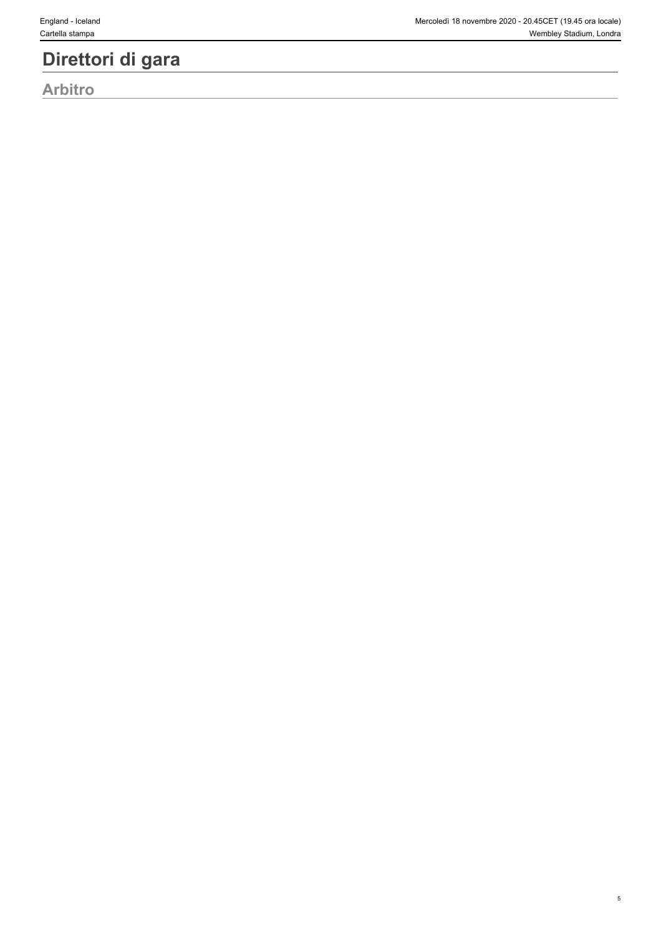### **Direttori di gara**

**Arbitro**

5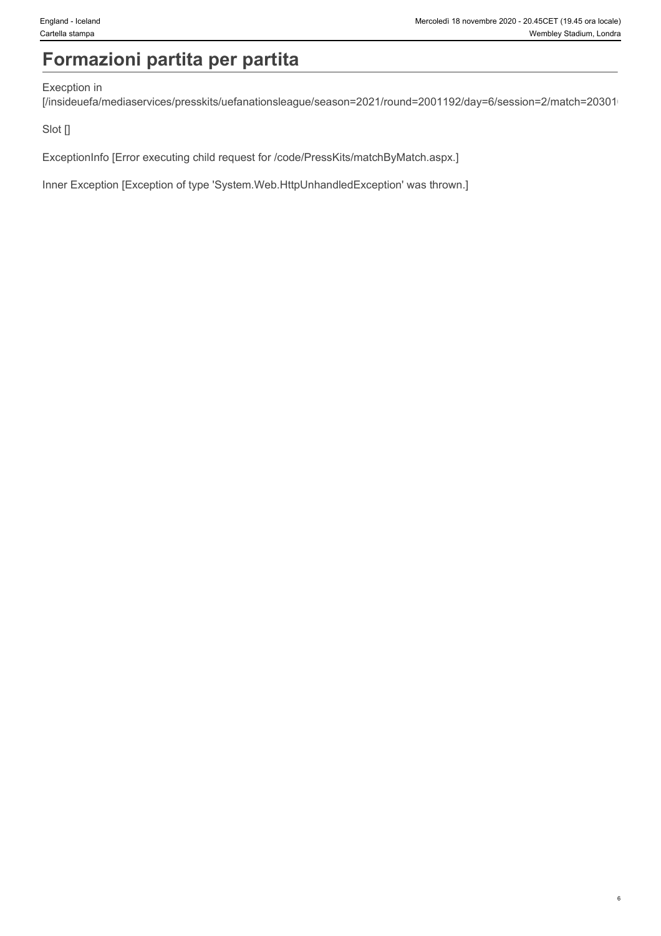# **Formazioni partita per partita**

#### Execption in

[/insideuefa/mediaservices/presskits/uefanationsleague/season=2021/round=2001192/day=6/session=2/match=20301/

Slot []

ExceptionInfo [Error executing child request for /code/PressKits/matchByMatch.aspx.]

Inner Exception [Exception of type 'System.Web.HttpUnhandledException' was thrown.]